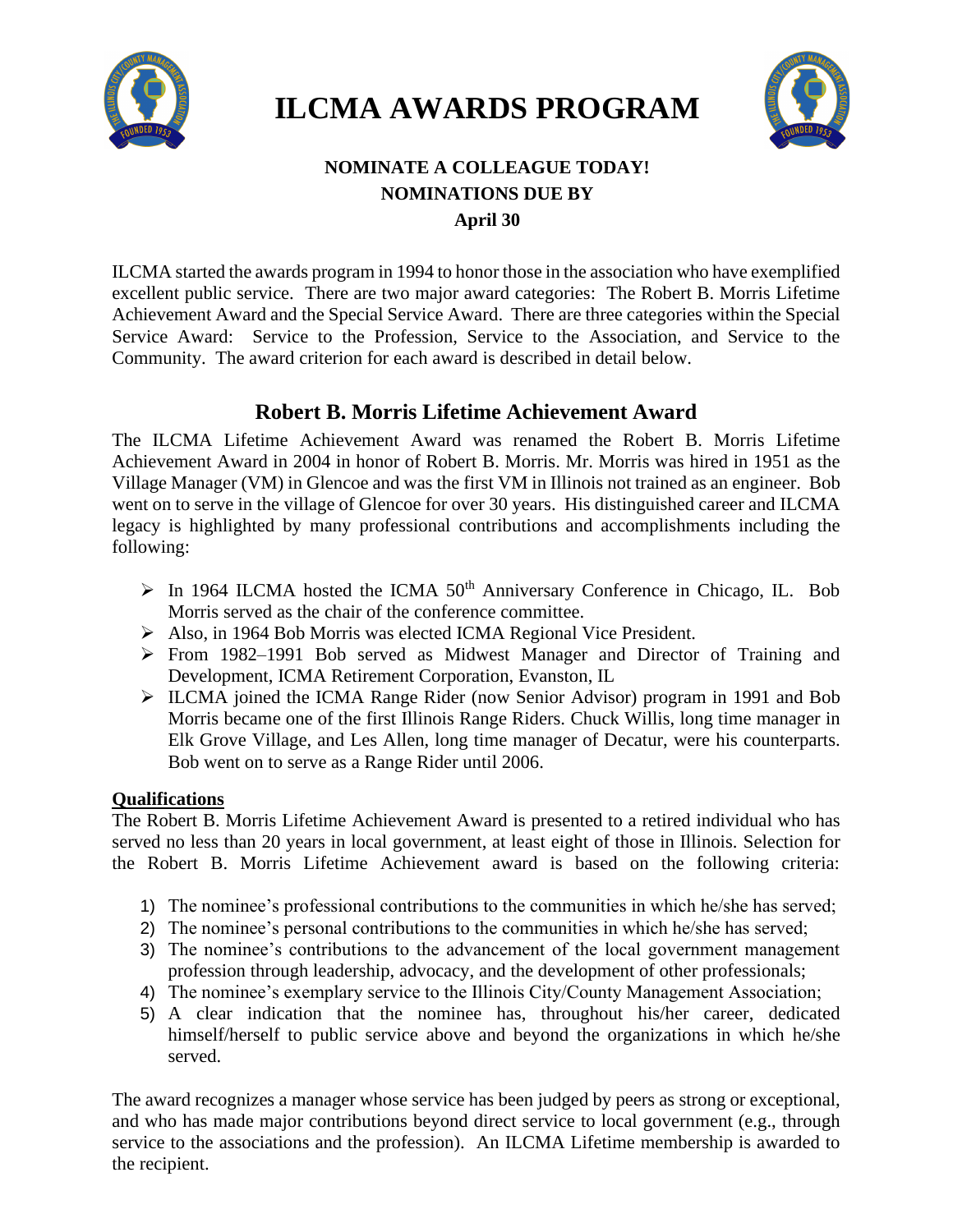

# **ILCMA AWARDS PROGRAM**



## **NOMINATE A COLLEAGUE TODAY! NOMINATIONS DUE BY April 30**

ILCMA started the awards program in 1994 to honor those in the association who have exemplified excellent public service. There are two major award categories: The Robert B. Morris Lifetime Achievement Award and the Special Service Award. There are three categories within the Special Service Award: Service to the Profession, Service to the Association, and Service to the Community. The award criterion for each award is described in detail below.

## **Robert B. Morris Lifetime Achievement Award**

The ILCMA Lifetime Achievement Award was renamed the Robert B. Morris Lifetime Achievement Award in 2004 in honor of Robert B. Morris. Mr. Morris was hired in 1951 as the Village Manager (VM) in Glencoe and was the first VM in Illinois not trained as an engineer. Bob went on to serve in the village of Glencoe for over 30 years. His distinguished career and ILCMA legacy is highlighted by many professional contributions and accomplishments including the following:

- $\triangleright$  In 1964 ILCMA hosted the ICMA 50<sup>th</sup> Anniversary Conference in Chicago, IL. Bob Morris served as the chair of the conference committee.
- ➢ Also, in 1964 Bob Morris was elected ICMA Regional Vice President.
- ➢ From 1982–1991 Bob served as Midwest Manager and Director of Training and Development, ICMA Retirement Corporation, Evanston, IL
- ➢ ILCMA joined the ICMA Range Rider (now Senior Advisor) program in 1991 and Bob Morris became one of the first Illinois Range Riders. Chuck Willis, long time manager in Elk Grove Village, and Les Allen, long time manager of Decatur, were his counterparts. Bob went on to serve as a Range Rider until 2006.

### **Qualifications**

The Robert B. Morris Lifetime Achievement Award is presented to a retired individual who has served no less than 20 years in local government, at least eight of those in Illinois. Selection for the Robert B. Morris Lifetime Achievement award is based on the following criteria:

- 1) The nominee's professional contributions to the communities in which he/she has served;
- 2) The nominee's personal contributions to the communities in which he/she has served;
- 3) The nominee's contributions to the advancement of the local government management profession through leadership, advocacy, and the development of other professionals;
- 4) The nominee's exemplary service to the Illinois City/County Management Association;
- 5) A clear indication that the nominee has, throughout his/her career, dedicated himself/herself to public service above and beyond the organizations in which he/she served.

The award recognizes a manager whose service has been judged by peers as strong or exceptional, and who has made major contributions beyond direct service to local government (e.g., through service to the associations and the profession). An ILCMA Lifetime membership is awarded to the recipient.